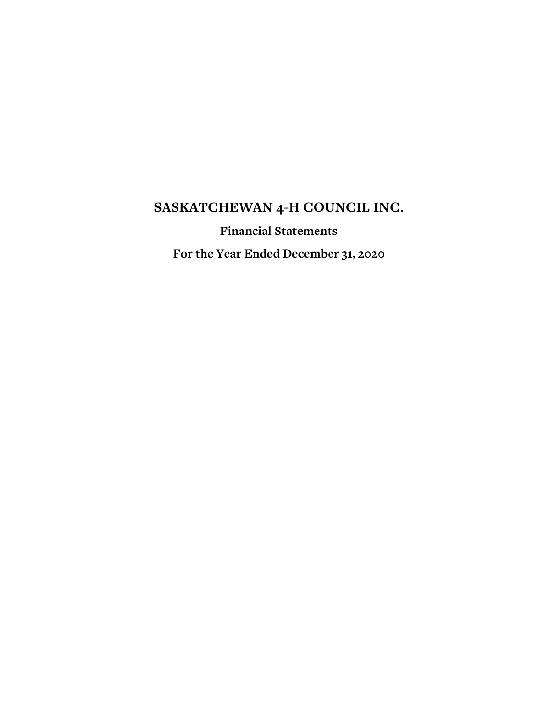**Financial Statements**

**For the Year Ended December 31, 2020**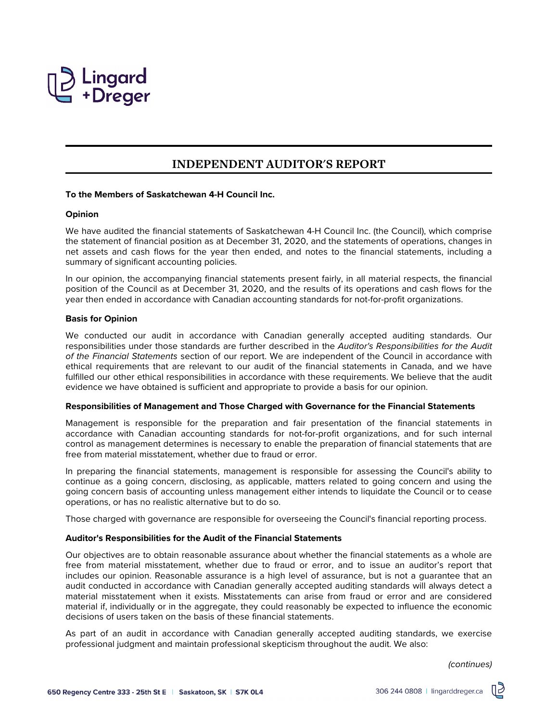

# **INDEPENDENT AUDITOR'S REPORT**

#### **To the Members of Saskatchewan 4-H Council Inc.**

#### **Opinion**

We have audited the financial statements of Saskatchewan 4-H Council Inc. (the Council), which comprise the statement of financial position as at December 31, 2020, and the statements of operations, changes in net assets and cash flows for the year then ended, and notes to the financial statements, including a summary of significant accounting policies.

In our opinion, the accompanying financial statements present fairly, in all material respects, the financial position of the Council as at December 31, 2020, and the results of its operations and cash flows for the year then ended in accordance with Canadian accounting standards for not-for-profit organizations.

#### **Basis for Opinion**

We conducted our audit in accordance with Canadian generally accepted auditing standards. Our responsibilities under those standards are further described in the Auditor's Responsibilities for the Audit of the Financial Statements section of our report. We are independent of the Council in accordance with ethical requirements that are relevant to our audit of the financial statements in Canada, and we have fulfilled our other ethical responsibilities in accordance with these requirements. We believe that the audit evidence we have obtained is sufficient and appropriate to provide a basis for our opinion.

#### **Responsibilities of Management and Those Charged with Governance for the Financial Statements**

Management is responsible for the preparation and fair presentation of the financial statements in accordance with Canadian accounting standards for not-for-profit organizations, and for such internal control as management determines is necessary to enable the preparation of financial statements that are free from material misstatement, whether due to fraud or error.

In preparing the financial statements, management is responsible for assessing the Council's ability to continue as a going concern, disclosing, as applicable, matters related to going concern and using the going concern basis of accounting unless management either intends to liquidate the Council or to cease operations, or has no realistic alternative but to do so.

Those charged with governance are responsible for overseeing the Council's financial reporting process.

#### **Auditor's Responsibilities for the Audit of the Financial Statements**

Our objectives are to obtain reasonable assurance about whether the financial statements as a whole are free from material misstatement, whether due to fraud or error, and to issue an auditor's report that includes our opinion. Reasonable assurance is a high level of assurance, but is not a guarantee that an audit conducted in accordance with Canadian generally accepted auditing standards will always detect a material misstatement when it exists. Misstatements can arise from fraud or error and are considered material if, individually or in the aggregate, they could reasonably be expected to influence the economic decisions of users taken on the basis of these financial statements.

As part of an audit in accordance with Canadian generally accepted auditing standards, we exercise professional judgment and maintain professional skepticism throughout the audit. We also:

(continues)

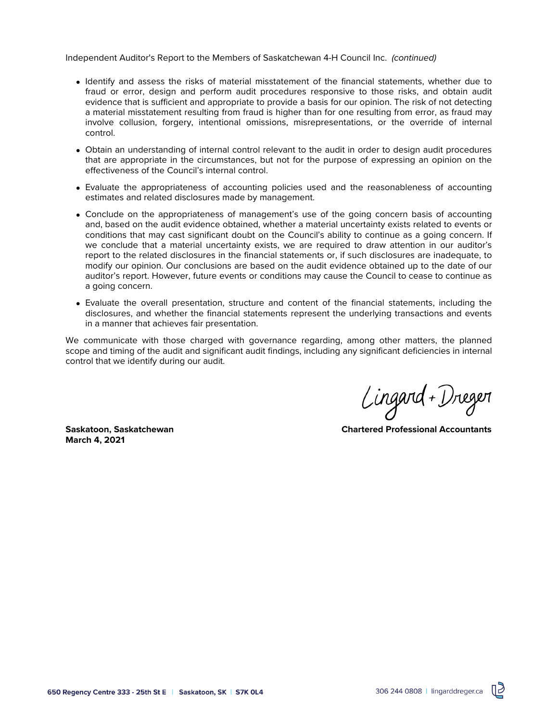Independent Auditor's Report to the Members of Saskatchewan 4-H Council Inc. (continued)

- Identify and assess the risks of material misstatement of the financial statements, whether due to fraud or error, design and perform audit procedures responsive to those risks, and obtain audit evidence that is sufficient and appropriate to provide a basis for our opinion. The risk of not detecting a material misstatement resulting from fraud is higher than for one resulting from error, as fraud may involve collusion, forgery, intentional omissions, misrepresentations, or the override of internal control.
- Obtain an understanding of internal control relevant to the audit in order to design audit procedures that are appropriate in the circumstances, but not for the purpose of expressing an opinion on the effectiveness of the Council's internal control.
- Evaluate the appropriateness of accounting policies used and the reasonableness of accounting estimates and related disclosures made by management.
- Conclude on the appropriateness of management's use of the going concern basis of accounting and, based on the audit evidence obtained, whether a material uncertainty exists related to events or conditions that may cast significant doubt on the Council's ability to continue as a going concern. If we conclude that a material uncertainty exists, we are required to draw attention in our auditor's report to the related disclosures in the financial statements or, if such disclosures are inadequate, to modify our opinion. Our conclusions are based on the audit evidence obtained up to the date of our auditor's report. However, future events or conditions may cause the Council to cease to continue as a going concern.
- Evaluate the overall presentation, structure and content of the financial statements, including the disclosures, and whether the financial statements represent the underlying transactions and events in a manner that achieves fair presentation.

We communicate with those charged with governance regarding, among other matters, the planned scope and timing of the audit and significant audit findings, including any significant deficiencies in internal control that we identify during our audit.

**March 4, 2021**

Lingard + Dreger

**Saskatoon, Saskatchewan Chartered Professional Accountants**

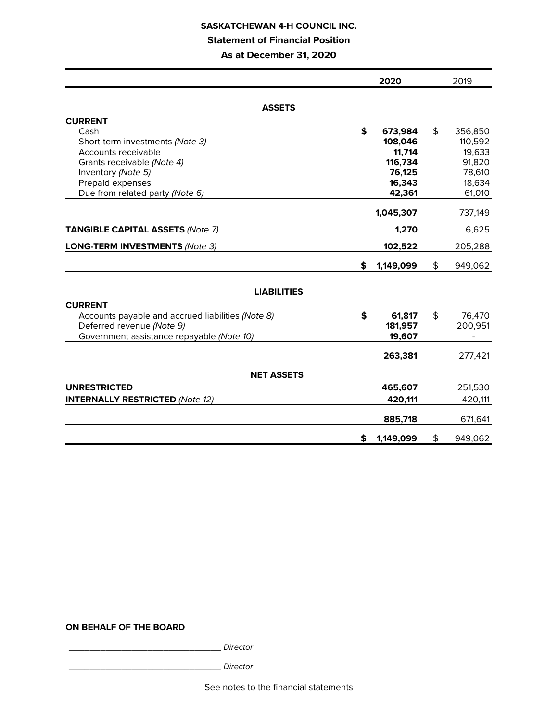# **Statement of Financial Position**

**As at December 31, 2020**

|                                                                                                                                                                           | 2020                                                                        | 2019                                                                       |
|---------------------------------------------------------------------------------------------------------------------------------------------------------------------------|-----------------------------------------------------------------------------|----------------------------------------------------------------------------|
| <b>ASSETS</b>                                                                                                                                                             |                                                                             |                                                                            |
| <b>CURRENT</b>                                                                                                                                                            |                                                                             |                                                                            |
| Cash<br>Short-term investments (Note 3)<br>Accounts receivable<br>Grants receivable (Note 4)<br>Inventory (Note 5)<br>Prepaid expenses<br>Due from related party (Note 6) | \$<br>673,984<br>108,046<br>11,714<br>116,734<br>76,125<br>16,343<br>42,361 | \$<br>356,850<br>110,592<br>19,633<br>91,820<br>78,610<br>18,634<br>61,010 |
|                                                                                                                                                                           | 1,045,307                                                                   | 737,149                                                                    |
| TANGIBLE CAPITAL ASSETS (Note 7)                                                                                                                                          | 1,270                                                                       | 6,625                                                                      |
| <b>LONG-TERM INVESTMENTS (Note 3)</b>                                                                                                                                     | 102,522                                                                     | 205,288                                                                    |
|                                                                                                                                                                           | \$<br>1,149,099                                                             | \$<br>949,062                                                              |
| <b>LIABILITIES</b>                                                                                                                                                        |                                                                             |                                                                            |
| <b>CURRENT</b><br>Accounts payable and accrued liabilities (Note 8)<br>Deferred revenue (Note 9)<br>Government assistance repayable (Note 10)                             | \$<br>61,817<br>181,957<br>19,607                                           | \$<br>76,470<br>200,951                                                    |
|                                                                                                                                                                           | 263,381                                                                     | 277,421                                                                    |
| <b>NET ASSETS</b>                                                                                                                                                         |                                                                             |                                                                            |
| <b>UNRESTRICTED</b>                                                                                                                                                       | 465,607                                                                     | 251,530                                                                    |
| <b>INTERNALLY RESTRICTED (Note 12)</b>                                                                                                                                    | 420,111                                                                     | 420,111                                                                    |
|                                                                                                                                                                           | 885,718                                                                     | 671,641                                                                    |
|                                                                                                                                                                           | \$<br>1,149,099                                                             | \$<br>949,062                                                              |

# **ON BEHALF OF THE BOARD**

\_\_\_\_\_\_\_\_\_\_\_\_\_\_\_\_\_\_\_\_\_\_\_\_\_\_\_\_\_ Director

\_\_\_\_\_\_\_\_\_\_\_\_\_\_\_\_\_\_\_\_\_\_\_\_\_\_\_\_\_ Director

See notes to the financial statements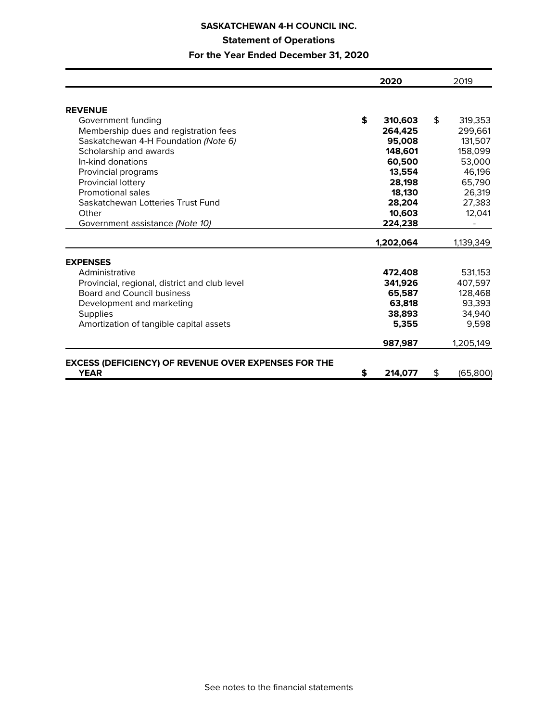# **SASKATCHEWAN 4-H COUNCIL INC. Statement of Operations For the Year Ended December 31, 2020**

|                                                             | 2020          | 2019            |
|-------------------------------------------------------------|---------------|-----------------|
| <b>REVENUE</b>                                              |               |                 |
| Government funding                                          | \$<br>310,603 | \$<br>319,353   |
| Membership dues and registration fees                       | 264,425       | 299,661         |
| Saskatchewan 4-H Foundation (Note 6)                        | 95,008        | 131,507         |
| Scholarship and awards                                      | 148,601       | 158,099         |
| In-kind donations                                           | 60,500        | 53,000          |
| Provincial programs                                         | 13.554        | 46,196          |
| Provincial lottery                                          | 28,198        | 65,790          |
| Promotional sales                                           | 18,130        | 26,319          |
| Saskatchewan Lotteries Trust Fund                           | 28,204        | 27,383          |
| Other                                                       | 10.603        | 12.041          |
| Government assistance (Note 10)                             | 224,238       |                 |
|                                                             | 1,202,064     | 1,139,349       |
| <b>EXPENSES</b>                                             |               |                 |
| Administrative                                              | 472,408       | 531,153         |
| Provincial, regional, district and club level               | 341,926       | 407,597         |
| <b>Board and Council business</b>                           | 65,587        | 128,468         |
| Development and marketing                                   | 63.818        | 93,393          |
| <b>Supplies</b>                                             | 38,893        | 34,940          |
| Amortization of tangible capital assets                     | 5,355         | 9,598           |
|                                                             | 987,987       | 1,205,149       |
| <b>EXCESS (DEFICIENCY) OF REVENUE OVER EXPENSES FOR THE</b> |               |                 |
| <b>YEAR</b>                                                 | \$<br>214,077 | \$<br>(65, 800) |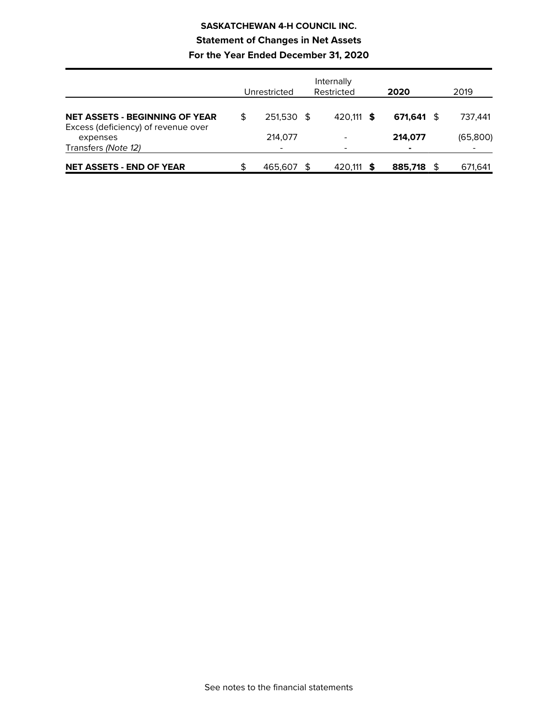# **SASKATCHEWAN 4-H COUNCIL INC. Statement of Changes in Net Assets For the Year Ended December 31, 2020**

|                                                                        | Unrestricted |      | Internally<br>Restricted | 2020         | 2019      |
|------------------------------------------------------------------------|--------------|------|--------------------------|--------------|-----------|
| <b>NET ASSETS - BEGINNING OF YEAR</b>                                  | 251,530      | - \$ | 420.111 \$               | 671.641 \$   | 737,441   |
| Excess (deficiency) of revenue over<br>expenses<br>Transfers (Note 12) | 214,077      |      |                          | 214,077<br>۰ | (65, 800) |
| <b>NET ASSETS - END OF YEAR</b>                                        | 465.607      | \$   | 420.111<br>- S           | 885,718      | 671,641   |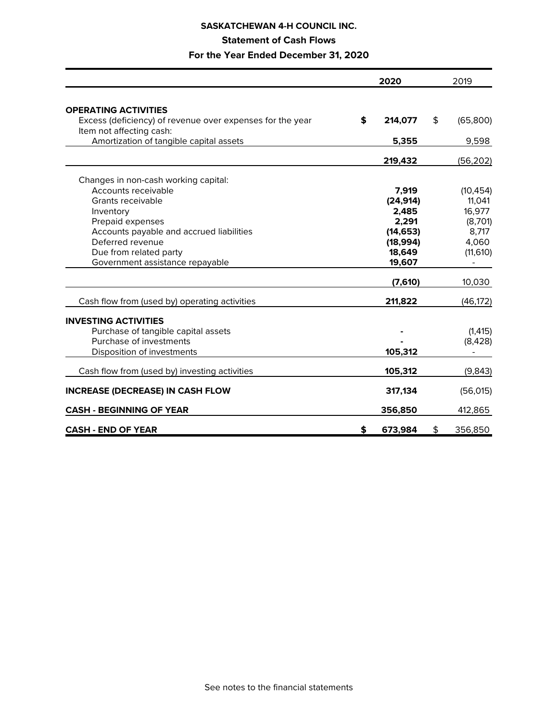# **SASKATCHEWAN 4-H COUNCIL INC. Statement of Cash Flows For the Year Ended December 31, 2020**

|                                                           | 2020          | 2019                     |
|-----------------------------------------------------------|---------------|--------------------------|
| <b>OPERATING ACTIVITIES</b>                               |               |                          |
| Excess (deficiency) of revenue over expenses for the year | \$<br>214,077 | \$<br>(65,800)           |
| Item not affecting cash:                                  |               |                          |
| Amortization of tangible capital assets                   | 5,355         | 9,598                    |
|                                                           | 219,432       | (56, 202)                |
| Changes in non-cash working capital:                      |               |                          |
| Accounts receivable                                       | 7,919         | (10, 454)                |
| Grants receivable                                         | (24, 914)     | 11,041                   |
| Inventory                                                 | 2.485         | 16,977                   |
| Prepaid expenses                                          | 2,291         | (8,701)                  |
| Accounts payable and accrued liabilities                  | (14, 653)     | 8,717                    |
| Deferred revenue                                          | (18, 994)     | 4,060                    |
| Due from related party                                    | 18,649        | (11, 610)                |
| Government assistance repayable                           | 19,607        | $\overline{\phantom{a}}$ |
|                                                           | (7,610)       | 10,030                   |
| Cash flow from (used by) operating activities             | 211,822       | (46, 172)                |
| <b>INVESTING ACTIVITIES</b>                               |               |                          |
| Purchase of tangible capital assets                       |               | (1, 415)                 |
| Purchase of investments                                   |               | (8,428)                  |
| Disposition of investments                                | 105,312       |                          |
| Cash flow from (used by) investing activities             | 105,312       | (9, 843)                 |
| <b>INCREASE (DECREASE) IN CASH FLOW</b>                   | 317,134       | (56, 015)                |
| <b>CASH - BEGINNING OF YEAR</b>                           | 356,850       | 412,865                  |
| <b>CASH - END OF YEAR</b>                                 | \$<br>673,984 | \$<br>356,850            |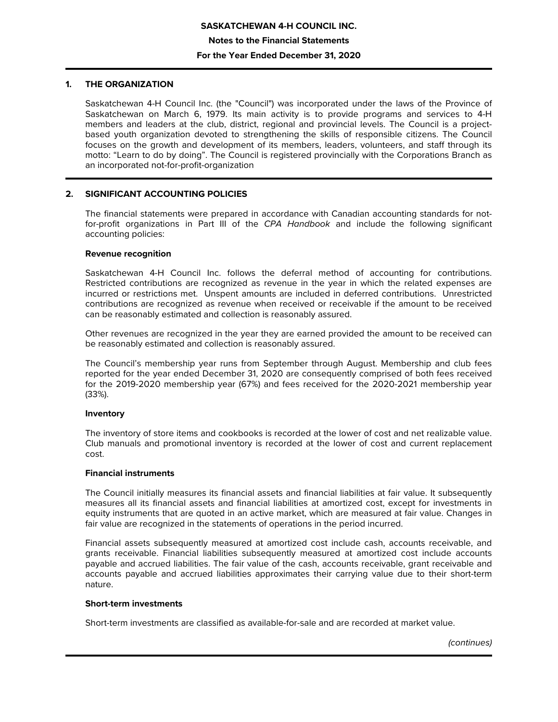### **1. THE ORGANIZATION**

Saskatchewan 4-H Council Inc. (the "Council") was incorporated under the laws of the Province of Saskatchewan on March 6, 1979. Its main activity is to provide programs and services to 4-H members and leaders at the club, district, regional and provincial levels. The Council is a projectbased youth organization devoted to strengthening the skills of responsible citizens. The Council focuses on the growth and development of its members, leaders, volunteers, and staff through its motto: "Learn to do by doing". The Council is registered provincially with the Corporations Branch as an incorporated not-for-profit-organization

### **2. SIGNIFICANT ACCOUNTING POLICIES**

The financial statements were prepared in accordance with Canadian accounting standards for notfor-profit organizations in Part III of the CPA Handbook and include the following significant accounting policies:

#### **Revenue recognition**

Saskatchewan 4-H Council Inc. follows the deferral method of accounting for contributions. Restricted contributions are recognized as revenue in the year in which the related expenses are incurred or restrictions met. Unspent amounts are included in deferred contributions. Unrestricted contributions are recognized as revenue when received or receivable if the amount to be received can be reasonably estimated and collection is reasonably assured.

Other revenues are recognized in the year they are earned provided the amount to be received can be reasonably estimated and collection is reasonably assured.

The Council's membership year runs from September through August. Membership and club fees reported for the year ended December 31, 2020 are consequently comprised of both fees received for the 2019-2020 membership year (67%) and fees received for the 2020-2021 membership year (33%).

#### **Inventory**

The inventory of store items and cookbooks is recorded at the lower of cost and net realizable value. Club manuals and promotional inventory is recorded at the lower of cost and current replacement cost.

#### **Financial instruments**

The Council initially measures its financial assets and financial liabilities at fair value. It subsequently measures all its financial assets and financial liabilities at amortized cost, except for investments in equity instruments that are quoted in an active market, which are measured at fair value. Changes in fair value are recognized in the statements of operations in the period incurred.

Financial assets subsequently measured at amortized cost include cash, accounts receivable, and grants receivable. Financial liabilities subsequently measured at amortized cost include accounts payable and accrued liabilities. The fair value of the cash, accounts receivable, grant receivable and accounts payable and accrued liabilities approximates their carrying value due to their short-term nature.

#### **Short-term investments**

Short-term investments are classified as available-for-sale and are recorded at market value.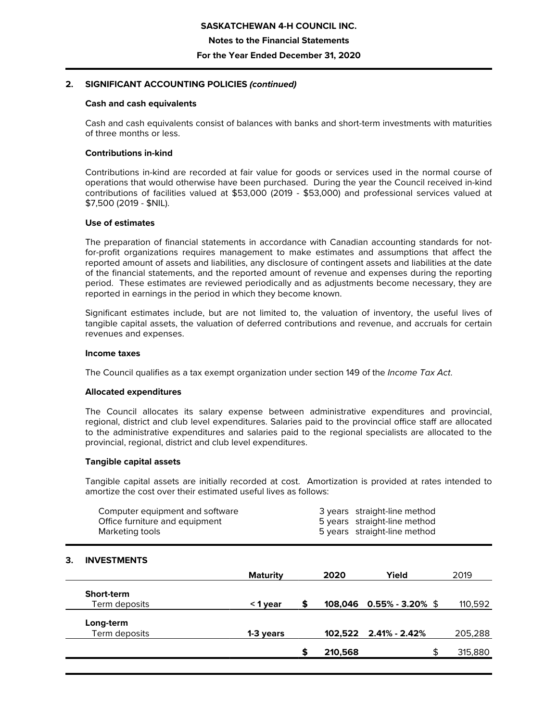#### **2. SIGNIFICANT ACCOUNTING POLICIES (continued)**

#### **Cash and cash equivalents**

Cash and cash equivalents consist of balances with banks and short-term investments with maturities of three months or less.

#### **Contributions in-kind**

Contributions in-kind are recorded at fair value for goods or services used in the normal course of operations that would otherwise have been purchased. During the year the Council received in-kind contributions of facilities valued at \$53,000 (2019 - \$53,000) and professional services valued at \$7,500 (2019 - \$NIL).

#### **Use of estimates**

The preparation of financial statements in accordance with Canadian accounting standards for notfor-profit organizations requires management to make estimates and assumptions that affect the reported amount of assets and liabilities, any disclosure of contingent assets and liabilities at the date of the financial statements, and the reported amount of revenue and expenses during the reporting period. These estimates are reviewed periodically and as adjustments become necessary, they are reported in earnings in the period in which they become known.

Significant estimates include, but are not limited to, the valuation of inventory, the useful lives of tangible capital assets, the valuation of deferred contributions and revenue, and accruals for certain revenues and expenses.

#### **Income taxes**

The Council qualifies as a tax exempt organization under section 149 of the *Income Tax Act.* 

#### **Allocated expenditures**

The Council allocates its salary expense between administrative expenditures and provincial, regional, district and club level expenditures. Salaries paid to the provincial office staff are allocated to the administrative expenditures and salaries paid to the regional specialists are allocated to the provincial, regional, district and club level expenditures.

#### **Tangible capital assets**

Tangible capital assets are initially recorded at cost. Amortization is provided at rates intended to amortize the cost over their estimated useful lives as follows:

| Computer equipment and software | 3 years straight-line method |
|---------------------------------|------------------------------|
| Office furniture and equipment  | 5 years straight-line method |
| Marketing tools                 | 5 years straight-line method |

#### **3. INVESTMENTS**

|               | <b>Maturity</b> | 2020    | Yield                     | 2019    |
|---------------|-----------------|---------|---------------------------|---------|
| Short-term    |                 |         |                           |         |
| Term deposits | <1 year         |         | 108,046  0.55% - 3.20% \$ | 110,592 |
|               |                 |         |                           |         |
| Long-term     |                 |         |                           |         |
| Term deposits | 1-3 years       |         | 102,522 2.41% - 2.42%     | 205,288 |
|               |                 | 210,568 |                           | 315,880 |
|               |                 |         |                           |         |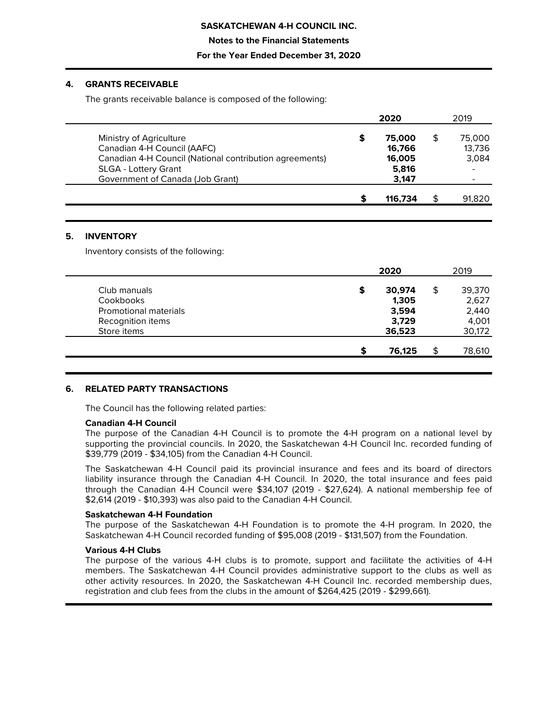**Notes to the Financial Statements**

**For the Year Ended December 31, 2020**

#### **4. GRANTS RECEIVABLE**

The grants receivable balance is composed of the following:

|                                                         |   | 2020    | 2019 |                          |  |
|---------------------------------------------------------|---|---------|------|--------------------------|--|
| Ministry of Agriculture                                 | S | 75,000  |      | 75,000                   |  |
| Canadian 4-H Council (AAFC)                             |   | 16,766  |      | 13,736                   |  |
| Canadian 4-H Council (National contribution agreements) |   | 16,005  |      | 3,084                    |  |
| <b>SLGA - Lottery Grant</b>                             |   | 5,816   |      | $\overline{\phantom{0}}$ |  |
| Government of Canada (Job Grant)                        |   | 3,147   |      | $\overline{\phantom{0}}$ |  |
|                                                         |   | 116,734 |      | 91,820                   |  |

#### **5. INVENTORY**

Inventory consists of the following:

|                                                                                       | 2020                                    | 2019                                    |
|---------------------------------------------------------------------------------------|-----------------------------------------|-----------------------------------------|
| Club manuals<br><b>Cookbooks</b><br><b>Promotional materials</b><br>Recognition items | \$<br>30,974<br>1,305<br>3,594<br>3,729 | \$<br>39,370<br>2,627<br>2,440<br>4,001 |
| Store items                                                                           | 36,523                                  | 30,172                                  |
|                                                                                       | 76.125                                  | 78,610                                  |

#### **6. RELATED PARTY TRANSACTIONS**

The Council has the following related parties:

#### **Canadian 4-H Council**

The purpose of the Canadian 4-H Council is to promote the 4-H program on a national level by supporting the provincial councils. In 2020, the Saskatchewan 4-H Council Inc. recorded funding of \$39,779 (2019 - \$34,105) from the Canadian 4-H Council.

The Saskatchewan 4-H Council paid its provincial insurance and fees and its board of directors liability insurance through the Canadian 4-H Council. In 2020, the total insurance and fees paid through the Canadian 4-H Council were \$34,107 (2019 - \$27,624). A national membership fee of \$2,614 (2019 - \$10,393) was also paid to the Canadian 4-H Council.

#### **Saskatchewan 4-H Foundation**

The purpose of the Saskatchewan 4-H Foundation is to promote the 4-H program. In 2020, the Saskatchewan 4-H Council recorded funding of \$95,008 (2019 - \$131,507) from the Foundation.

#### **Various 4-H Clubs**

The purpose of the various 4-H clubs is to promote, support and facilitate the activities of 4-H members. The Saskatchewan 4-H Council provides administrative support to the clubs as well as other activity resources. In 2020, the Saskatchewan 4-H Council Inc. recorded membership dues, registration and club fees from the clubs in the amount of \$264,425 (2019 - \$299,661).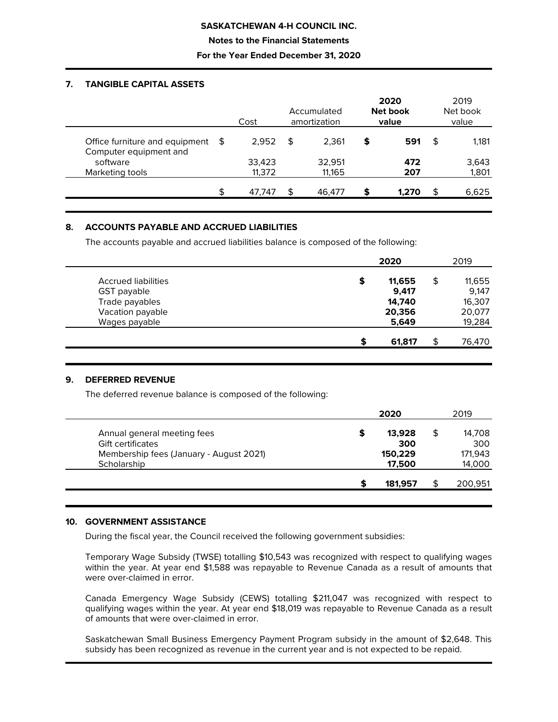# **SASKATCHEWAN 4-H COUNCIL INC. Notes to the Financial Statements**

**For the Year Ended December 31, 2020**

## **7. TANGIBLE CAPITAL ASSETS**

|                                                          | Cost             |   | Accumulated<br>amortization | 2020<br>Net book<br>value | 2019<br>Net book<br>value |
|----------------------------------------------------------|------------------|---|-----------------------------|---------------------------|---------------------------|
| Office furniture and equipment<br>Computer equipment and | 2.952            | S | 2.361                       | \$<br>591                 | \$<br>1,181               |
| software<br>Marketing tools                              | 33,423<br>11,372 |   | 32,951<br>11,165            | 472<br>207                | 3,643<br>1,801            |
|                                                          | 47.747           |   | 46,477                      | 1.270                     | \$<br>6,625               |

# **8. ACCOUNTS PAYABLE AND ACCRUED LIABILITIES**

The accounts payable and accrued liabilities balance is composed of the following:

|                                                                                           | 2020                                         |    | 2019                                          |  |
|-------------------------------------------------------------------------------------------|----------------------------------------------|----|-----------------------------------------------|--|
| Accrued liabilities<br>GST payable<br>Trade payables<br>Vacation payable<br>Wages payable | 11,655<br>9,417<br>14,740<br>20,356<br>5,649 | \$ | 11,655<br>9,147<br>16,307<br>20,077<br>19,284 |  |
|                                                                                           | 61,817                                       | S  | 76,470                                        |  |

### **9. DEFERRED REVENUE**

The deferred revenue balance is composed of the following:

|                                         | 2020    |   | 2019    |
|-----------------------------------------|---------|---|---------|
| Annual general meeting fees             | 13,928  | S | 14,708  |
| Gift certificates                       | 300     |   | 300     |
| Membership fees (January - August 2021) | 150,229 |   | 171,943 |
| Scholarship                             | 17,500  |   | 14,000  |
|                                         | 181.957 |   | 200,951 |
|                                         |         |   |         |

## **10. GOVERNMENT ASSISTANCE**

During the fiscal year, the Council received the following government subsidies:

Temporary Wage Subsidy (TWSE) totalling \$10,543 was recognized with respect to qualifying wages within the year. At year end \$1,588 was repayable to Revenue Canada as a result of amounts that were over-claimed in error.

Canada Emergency Wage Subsidy (CEWS) totalling \$211,047 was recognized with respect to qualifying wages within the year. At year end \$18,019 was repayable to Revenue Canada as a result of amounts that were over-claimed in error.

Saskatchewan Small Business Emergency Payment Program subsidy in the amount of \$2,648. This subsidy has been recognized as revenue in the current year and is not expected to be repaid.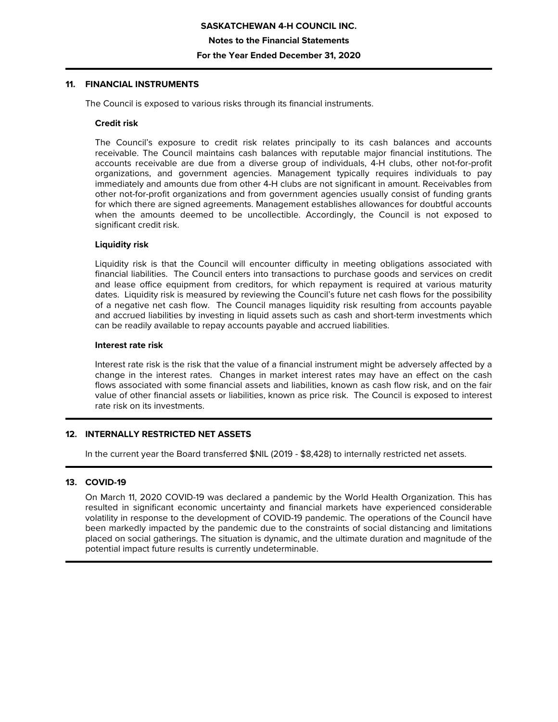#### **11. FINANCIAL INSTRUMENTS**

The Council is exposed to various risks through its financial instruments.

#### **Credit risk**

The Council's exposure to credit risk relates principally to its cash balances and accounts receivable. The Council maintains cash balances with reputable major financial institutions. The accounts receivable are due from a diverse group of individuals, 4-H clubs, other not-for-profit organizations, and government agencies. Management typically requires individuals to pay immediately and amounts due from other 4-H clubs are not significant in amount. Receivables from other not-for-profit organizations and from government agencies usually consist of funding grants for which there are signed agreements. Management establishes allowances for doubtful accounts when the amounts deemed to be uncollectible. Accordingly, the Council is not exposed to significant credit risk.

#### **Liquidity risk**

Liquidity risk is that the Council will encounter difficulty in meeting obligations associated with financial liabilities. The Council enters into transactions to purchase goods and services on credit and lease office equipment from creditors, for which repayment is required at various maturity dates. Liquidity risk is measured by reviewing the Council's future net cash flows for the possibility of a negative net cash flow. The Council manages liquidity risk resulting from accounts payable and accrued liabilities by investing in liquid assets such as cash and short-term investments which can be readily available to repay accounts payable and accrued liabilities.

#### **Interest rate risk**

Interest rate risk is the risk that the value of a financial instrument might be adversely affected by a change in the interest rates. Changes in market interest rates may have an effect on the cash flows associated with some financial assets and liabilities, known as cash flow risk, and on the fair value of other financial assets or liabilities, known as price risk. The Council is exposed to interest rate risk on its investments.

### **12. INTERNALLY RESTRICTED NET ASSETS**

In the current year the Board transferred \$NIL (2019 - \$8,428) to internally restricted net assets.

# **13. COVID-19**

On March 11, 2020 COVID-19 was declared a pandemic by the World Health Organization. This has resulted in significant economic uncertainty and financial markets have experienced considerable volatility in response to the development of COVID-19 pandemic. The operations of the Council have been markedly impacted by the pandemic due to the constraints of social distancing and limitations placed on social gatherings. The situation is dynamic, and the ultimate duration and magnitude of the potential impact future results is currently undeterminable.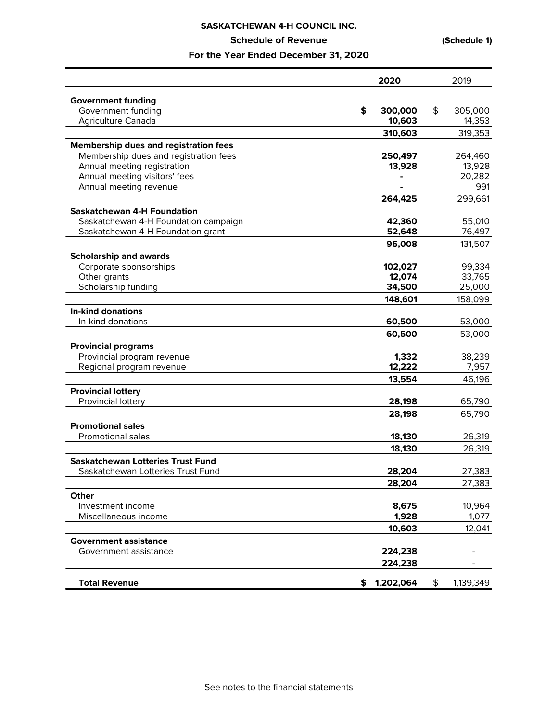# **Schedule of Revenue (Schedule 1)**

|                                              | 2020            |    | 2019      |
|----------------------------------------------|-----------------|----|-----------|
| <b>Government funding</b>                    |                 |    |           |
| Government funding                           | \$<br>300,000   | \$ | 305,000   |
| <b>Agriculture Canada</b>                    | 10,603          |    | 14,353    |
|                                              | 310,603         |    | 319,353   |
| <b>Membership dues and registration fees</b> |                 |    |           |
| Membership dues and registration fees        | 250,497         |    | 264,460   |
| Annual meeting registration                  | 13,928          |    | 13,928    |
| Annual meeting visitors' fees                |                 |    | 20,282    |
| Annual meeting revenue                       |                 |    | 991       |
|                                              | 264,425         |    | 299,661   |
| <b>Saskatchewan 4-H Foundation</b>           |                 |    |           |
| Saskatchewan 4-H Foundation campaign         | 42,360          |    | 55,010    |
| Saskatchewan 4-H Foundation grant            | 52,648          |    | 76,497    |
|                                              | 95,008          |    | 131,507   |
| <b>Scholarship and awards</b>                |                 |    |           |
| Corporate sponsorships                       | 102,027         |    | 99,334    |
| Other grants                                 | 12,074          |    | 33,765    |
| Scholarship funding                          | 34,500          |    | 25,000    |
|                                              | 148,601         |    | 158,099   |
| <b>In-kind donations</b>                     |                 |    |           |
| In-kind donations                            | 60,500          |    | 53,000    |
|                                              | 60,500          |    | 53,000    |
| <b>Provincial programs</b>                   |                 |    |           |
| Provincial program revenue                   | 1,332           |    | 38,239    |
| Regional program revenue                     | 12,222          |    | 7,957     |
|                                              | 13,554          |    | 46,196    |
| <b>Provincial lottery</b>                    |                 |    |           |
| Provincial lottery                           | 28,198          |    | 65,790    |
|                                              | 28,198          |    | 65,790    |
| <b>Promotional sales</b>                     |                 |    |           |
| Promotional sales                            | 18,130          |    | 26,319    |
|                                              | 18,130          |    | 26,319    |
| <b>Saskatchewan Lotteries Trust Fund</b>     |                 |    |           |
| Saskatchewan Lotteries Trust Fund            | 28,204          |    | 27,383    |
|                                              | 28,204          |    | 27,383    |
| Other                                        |                 |    |           |
| Investment income                            | 8,675           |    | 10,964    |
| Miscellaneous income                         | 1,928           |    | 1,077     |
|                                              | 10,603          |    | 12,041    |
| <b>Government assistance</b>                 |                 |    |           |
| Government assistance                        | 224,238         |    |           |
|                                              | 224,238         |    |           |
| <b>Total Revenue</b>                         | \$<br>1,202,064 | \$ | 1,139,349 |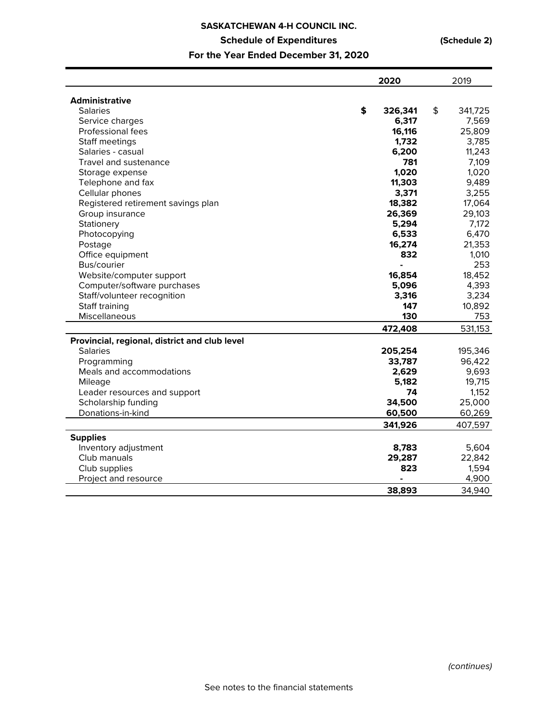# **SASKATCHEWAN 4-H COUNCIL INC. Schedule of Expenditures (Schedule 2) For the Year Ended December 31, 2020**

|                                               | 2020          | 2019          |
|-----------------------------------------------|---------------|---------------|
| <b>Administrative</b>                         |               |               |
| <b>Salaries</b>                               | \$<br>326,341 | \$<br>341,725 |
| Service charges                               | 6,317         | 7,569         |
| Professional fees                             | 16,116        | 25,809        |
| Staff meetings                                | 1,732         | 3,785         |
| Salaries - casual                             | 6,200         | 11,243        |
| Travel and sustenance                         | 781           | 7,109         |
| Storage expense                               | 1,020         | 1,020         |
| Telephone and fax                             | 11,303        | 9,489         |
| Cellular phones                               | 3,371         | 3,255         |
| Registered retirement savings plan            | 18,382        | 17,064        |
| Group insurance                               | 26,369        | 29,103        |
| Stationery                                    | 5,294         | 7,172         |
| Photocopying                                  | 6,533         | 6,470         |
| Postage                                       | 16,274        | 21,353        |
| Office equipment                              | 832           | 1,010         |
| Bus/courier                                   |               | 253           |
| Website/computer support                      | 16,854        | 18,452        |
| Computer/software purchases                   | 5,096         | 4,393         |
| Staff/volunteer recognition                   | 3,316         | 3,234         |
| Staff training                                | 147           | 10,892        |
| Miscellaneous                                 | 130           | 753           |
|                                               | 472,408       | 531,153       |
| Provincial, regional, district and club level |               |               |
| <b>Salaries</b>                               | 205,254       | 195,346       |
| Programming                                   | 33,787        | 96,422        |
| Meals and accommodations                      | 2,629         | 9,693         |
| Mileage                                       | 5,182         | 19,715        |
| Leader resources and support                  | 74            | 1,152         |
| Scholarship funding                           | 34,500        | 25,000        |
| Donations-in-kind                             | 60,500        | 60,269        |
|                                               | 341,926       | 407,597       |
| <b>Supplies</b>                               |               |               |
| Inventory adjustment                          | 8,783         | 5,604         |
| Club manuals                                  | 29,287        | 22,842        |
| Club supplies                                 | 823           | 1,594         |
| Project and resource                          |               | 4,900         |
|                                               | 38,893        | 34,940        |